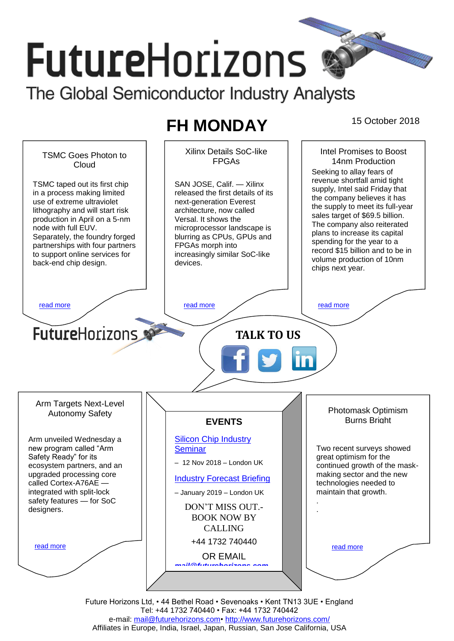# **FutureHorizons**

The Global Semiconductor Industry Analysts

# FH MONDAY 15 October 2018



Tel: +44 1732 740440 • Fax: +44 1732 740442 e-mail: [mail@futurehorizons.com•](../FH%20Monday%20-%202017/mail@futurehorizons.com)<http://www.futurehorizons.com/> Affiliates in Europe, India, Israel, Japan, Russian, San Jose California, USA